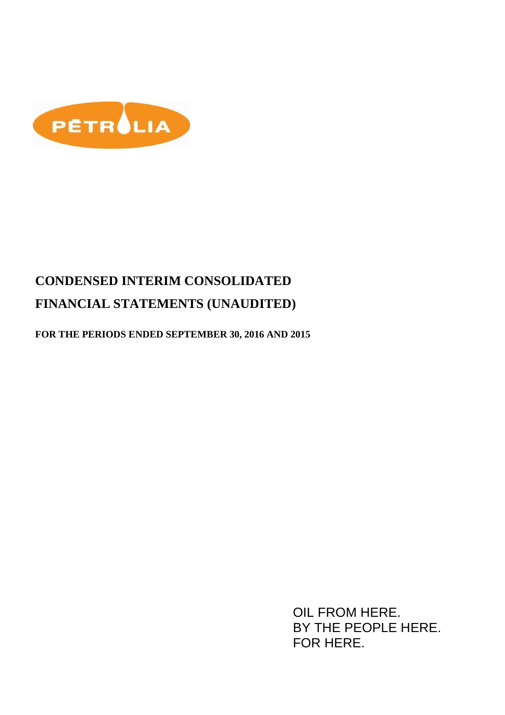

**FOR THE PERIODS ENDED SEPTEMBER 30, 2016 AND 2015** 

OIL FROM HERE. BY THE PEOPLE HERE. FOR HERE.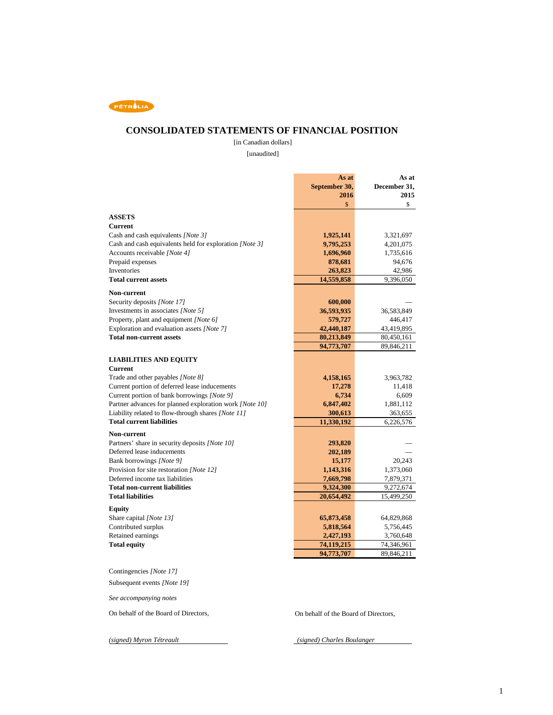

### **CONSOLIDATED STATEMENTS OF FINANCIAL POSITION**

 [unaudited] [in Canadian dollars]

|                                                                                         | As at         | As at               |
|-----------------------------------------------------------------------------------------|---------------|---------------------|
|                                                                                         | September 30, | December 31,        |
|                                                                                         | 2016          | 2015                |
|                                                                                         | \$            | \$                  |
| <b>ASSETS</b>                                                                           |               |                     |
| <b>Current</b>                                                                          |               |                     |
| Cash and cash equivalents [Note 3]                                                      |               |                     |
|                                                                                         | 1,925,141     | 3,321,697           |
| Cash and cash equivalents held for exploration [Note 3]<br>Accounts receivable [Note 4] | 9,795,253     | 4,201,075           |
| Prepaid expenses                                                                        | 1,696,960     | 1,735,616<br>94,676 |
| Inventories                                                                             | 878,681       |                     |
| <b>Total current assets</b>                                                             | 263,823       | 42,986              |
|                                                                                         | 14,559,858    | 9,396,050           |
| Non-current                                                                             |               |                     |
| Security deposits [Note 17]                                                             | 600,000       |                     |
| Investments in associates [Note 5]                                                      | 36,593,935    | 36,583,849          |
| Property, plant and equipment [Note 6]                                                  | 579,727       | 446,417             |
| Exploration and evaluation assets [Note 7]                                              | 42,440,187    | 43,419,895          |
| <b>Total non-current assets</b>                                                         | 80,213,849    | 80,450,161          |
|                                                                                         | 94,773,707    | 89,846,211          |
|                                                                                         |               |                     |
| <b>LIABILITIES AND EQUITY</b>                                                           |               |                     |
| <b>Current</b>                                                                          |               |                     |
| Trade and other payables [Note 8]                                                       | 4,158,165     | 3,963,782           |
| Current portion of deferred lease inducements                                           | 17,278        | 11,418              |
| Current portion of bank borrowings [Note 9]                                             | 6,734         | 6,609               |
| Partner advances for planned exploration work [Note 10]                                 | 6,847,402     | 1,881,112           |
| Liability related to flow-through shares [Note 11]                                      | 300,613       | 363,655             |
| <b>Total current liabilities</b>                                                        | 11,330,192    | 6,226,576           |
| Non-current                                                                             |               |                     |
| Partners' share in security deposits [Note 10]                                          | 293,820       |                     |
| Deferred lease inducements                                                              | 202,189       |                     |
| Bank borrowings [Note 9]                                                                | 15,177        | 20,243              |
| Provision for site restoration [Note 12]                                                | 1,143,316     | 1,373,060           |
| Deferred income tax liabilities                                                         | 7,669,798     | 7,879,371           |
| <b>Total non-current liabilities</b>                                                    | 9,324,300     | 9,272,674           |
| <b>Total liabilities</b>                                                                | 20,654,492    | 15,499,250          |
| <b>Equity</b>                                                                           |               |                     |
| Share capital [Note 13]                                                                 | 65,873,458    | 64,829,868          |
| Contributed surplus                                                                     | 5,818,564     | 5,756,445           |
| Retained earnings                                                                       | 2,427,193     | 3,760,648           |
| <b>Total equity</b>                                                                     | 74,119,215    | 74,346,961          |
|                                                                                         | 94,773,707    | 89,846,211          |
|                                                                                         |               |                     |

Contingencies *[Note 17]*

Subsequent events *[Note 19]*

*See accompanying notes* 

On behalf of the Board of Directors, On behalf of the Board of Directors,

*(signed) Myron Tétreault (signed) Charles Boulanger*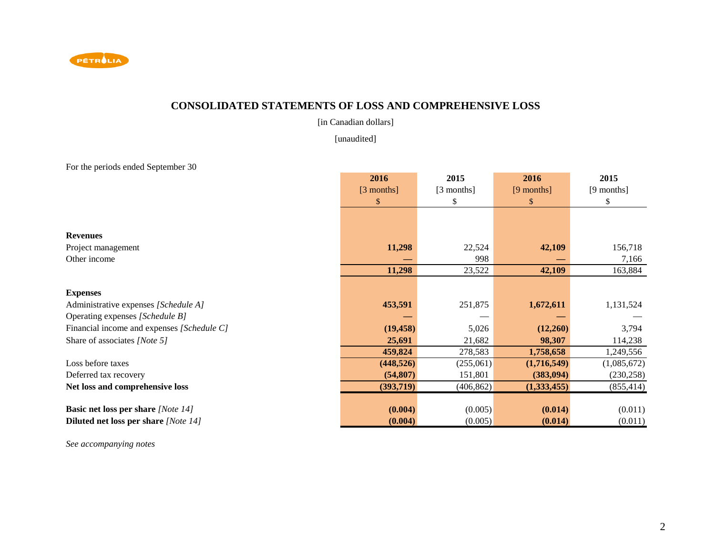

# **CONSOLIDATED STATEMENTS OF LOSS AND COMPREHENSIVE LOSS**

[in Canadian dollars]

[unaudited]

For the periods ended September 30

|                                             | 2016         | 2015       | 2016        | 2015        |
|---------------------------------------------|--------------|------------|-------------|-------------|
|                                             | $[3$ months] | [3 months] | [9 months]  | [9 months]  |
|                                             | $\mathbb{S}$ | \$         | <b>S</b>    | \$          |
|                                             |              |            |             |             |
| <b>Revenues</b>                             |              |            |             |             |
| Project management                          | 11,298       | 22,524     | 42,109      | 156,718     |
| Other income                                |              | 998        |             | 7,166       |
|                                             | 11,298       | 23,522     | 42,109      | 163,884     |
| <b>Expenses</b>                             |              |            |             |             |
|                                             | 453,591      |            |             |             |
| Administrative expenses [Schedule A]        |              | 251,875    | 1,672,611   | 1,131,524   |
| Operating expenses [Schedule B]             |              |            |             |             |
| Financial income and expenses [Schedule C]  | (19, 458)    | 5,026      | (12,260)    | 3,794       |
| Share of associates [Note 5]                | 25,691       | 21,682     | 98,307      | 114,238     |
|                                             | 459,824      | 278,583    | 1,758,658   | 1,249,556   |
| Loss before taxes                           | (448, 526)   | (255,061)  | (1,716,549) | (1,085,672) |
| Deferred tax recovery                       | (54, 807)    | 151,801    | (383,094)   | (230, 258)  |
| Net loss and comprehensive loss             | (393,719)    | (406, 862) | (1,333,455) | (855, 414)  |
|                                             |              |            |             |             |
| <b>Basic net loss per share [Note 14]</b>   | (0.004)      | (0.005)    | (0.014)     | (0.011)     |
| <b>Diluted net loss per share</b> [Note 14] | (0.004)      | (0.005)    | (0.014)     | (0.011)     |

*See accompanying notes*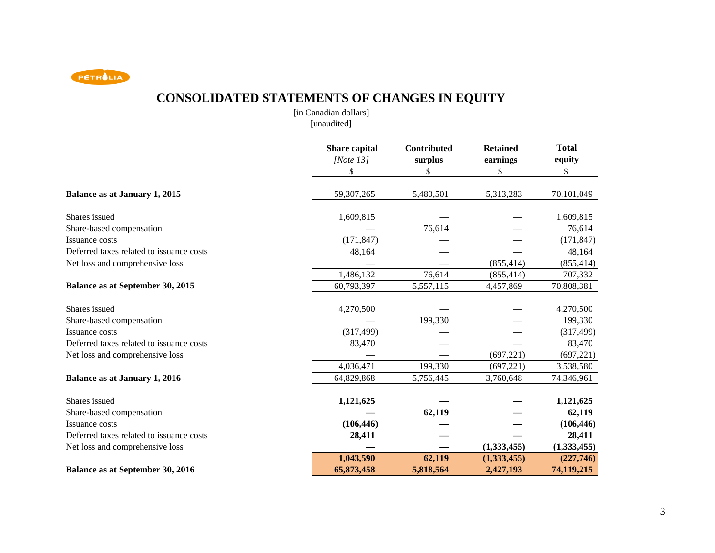PETROLIA

# **CONSOLIDATED STATEMENTS OF CHANGES IN EQUITY**

[in Canadian dollars][unaudited]

|                                          | <b>Share capital</b><br>[Note $13$ ]<br>\$ | <b>Contributed</b><br>surplus<br>\$ | <b>Retained</b><br>earnings<br>\$ | <b>Total</b><br>equity<br>\$ |
|------------------------------------------|--------------------------------------------|-------------------------------------|-----------------------------------|------------------------------|
| <b>Balance as at January 1, 2015</b>     | 59,307,265                                 | 5,480,501                           | 5,313,283                         | 70,101,049                   |
| Shares issued                            | 1,609,815                                  |                                     |                                   | 1,609,815                    |
| Share-based compensation                 |                                            | 76,614                              |                                   | 76,614                       |
| Issuance costs                           | (171, 847)                                 |                                     |                                   | (171, 847)                   |
| Deferred taxes related to issuance costs | 48,164                                     |                                     |                                   | 48,164                       |
| Net loss and comprehensive loss          |                                            |                                     | (855, 414)                        | (855, 414)                   |
|                                          | 1,486,132                                  | 76,614                              | (855, 414)                        | 707,332                      |
| Balance as at September 30, 2015         | 60,793,397                                 | 5,557,115                           | 4,457,869                         | 70,808,381                   |
| Shares issued                            | 4,270,500                                  |                                     |                                   | 4,270,500                    |
| Share-based compensation                 |                                            | 199,330                             |                                   | 199,330                      |
| Issuance costs                           | (317, 499)                                 |                                     |                                   | (317, 499)                   |
| Deferred taxes related to issuance costs | 83,470                                     |                                     |                                   | 83,470                       |
| Net loss and comprehensive loss          |                                            |                                     | (697, 221)                        | (697, 221)                   |
|                                          | 4,036,471                                  | 199,330                             | (697, 221)                        | 3,538,580                    |
| <b>Balance as at January 1, 2016</b>     | 64,829,868                                 | 5,756,445                           | 3,760,648                         | 74,346,961                   |
| Shares issued                            | 1,121,625                                  |                                     |                                   | 1,121,625                    |
| Share-based compensation                 |                                            | 62,119                              |                                   | 62,119                       |
| Issuance costs                           | (106, 446)                                 |                                     |                                   | (106, 446)                   |
| Deferred taxes related to issuance costs | 28,411                                     |                                     |                                   | 28,411                       |
| Net loss and comprehensive loss          |                                            |                                     | (1,333,455)                       | (1, 333, 455)                |
|                                          | 1,043,590                                  | 62,119                              | (1,333,455)                       | (227,746)                    |
| <b>Balance as at September 30, 2016</b>  | 65,873,458                                 | 5,818,564                           | 2,427,193                         | 74,119,215                   |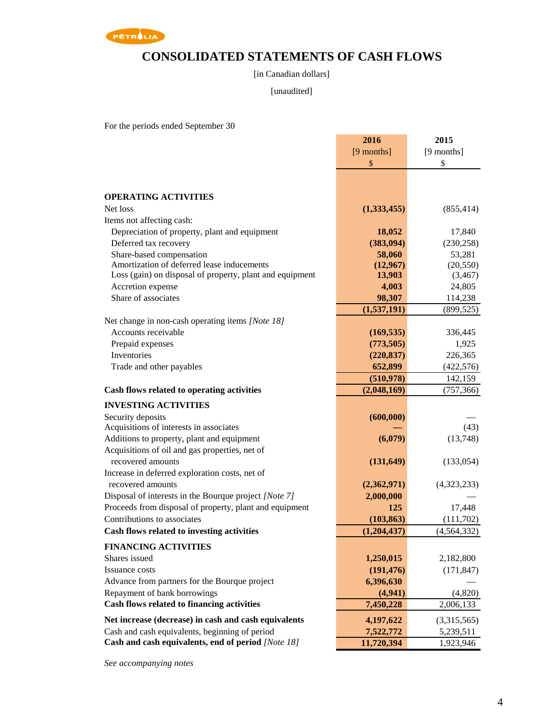

# **CONSOLIDATED STATEMENTS OF CASH FLOWS**

[in Canadian dollars]

#### [unaudited]

For the periods ended September 30

|                                                          | 2016        | 2015          |
|----------------------------------------------------------|-------------|---------------|
|                                                          | [9 months]  | [9 months]    |
|                                                          | \$          | \$            |
|                                                          |             |               |
| <b>OPERATING ACTIVITIES</b>                              |             |               |
| Net loss                                                 | (1,333,455) | (855, 414)    |
| Items not affecting cash:                                |             |               |
| Depreciation of property, plant and equipment            | 18,052      | 17,840        |
| Deferred tax recovery                                    | (383,094)   | (230, 258)    |
| Share-based compensation                                 | 58,060      | 53,281        |
| Amortization of deferred lease inducements               | (12,967)    | (20, 550)     |
| Loss (gain) on disposal of property, plant and equipment | 13,903      | (3, 467)      |
| Accretion expense                                        | 4,003       | 24,805        |
| Share of associates                                      | 98,307      | 114,238       |
|                                                          | (1,537,191) | (899, 525)    |
| Net change in non-cash operating items [Note 18]         |             |               |
| Accounts receivable                                      | (169, 535)  | 336,445       |
| Prepaid expenses                                         | (773, 505)  | 1,925         |
| Inventories                                              | (220, 837)  | 226,365       |
| Trade and other payables                                 | 652,899     | (422, 576)    |
|                                                          | (510, 978)  | 142,159       |
| Cash flows related to operating activities               | (2,048,169) | (757, 366)    |
| <b>INVESTING ACTIVITIES</b>                              |             |               |
| Security deposits                                        | (600, 000)  |               |
| Acquisitions of interests in associates                  |             | (43)          |
| Additions to property, plant and equipment               | (6,079)     | (13,748)      |
| Acquisitions of oil and gas properties, net of           |             |               |
| recovered amounts                                        | (131, 649)  | (133, 054)    |
| Increase in deferred exploration costs, net of           |             |               |
| recovered amounts                                        | (2,362,971) | (4,323,233)   |
| Disposal of interests in the Bourque project [Note 7]    | 2,000,000   |               |
| Proceeds from disposal of property, plant and equipment  | 125         | 17,448        |
| Contributions to associates                              | (103, 863)  | (111,702)     |
| Cash flows related to investing activities               | (1,204,437) | (4, 564, 332) |
| <b>FINANCING ACTIVITIES</b>                              |             |               |
| Shares issued                                            | 1,250,015   | 2,182,800     |
| Issuance costs                                           | (191, 476)  | (171, 847)    |
| Advance from partners for the Bourque project            | 6,396,630   |               |
| Repayment of bank borrowings                             | (4,941)     | (4,820)       |
| Cash flows related to financing activities               | 7,450,228   | 2,006,133     |
| Net increase (decrease) in cash and cash equivalents     | 4,197,622   | (3,315,565)   |
| Cash and cash equivalents, beginning of period           | 7,522,772   | 5,239,511     |
| Cash and cash equivalents, end of period [Note 18]       | 11,720,394  | 1,923,946     |

*See accompanying notes*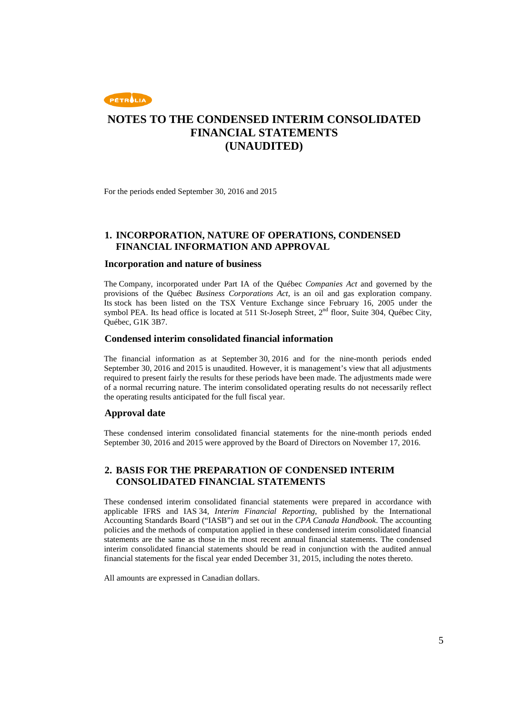

For the periods ended September 30, 2016 and 2015

#### **1. INCORPORATION, NATURE OF OPERATIONS, CONDENSED FINANCIAL INFORMATION AND APPROVAL**

#### **Incorporation and nature of business**

The Company, incorporated under Part IA of the Québec *Companies Act* and governed by the provisions of the Québec *Business Corporations Act*, is an oil and gas exploration company. Its stock has been listed on the TSX Venture Exchange since February 16, 2005 under the symbol PEA. Its head office is located at 511 St-Joseph Street,  $2<sup>nd</sup>$  floor, Suite 304, Ouébec City, Québec, G1K 3B7.

#### **Condensed interim consolidated financial information**

The financial information as at September 30, 2016 and for the nine-month periods ended September 30, 2016 and 2015 is unaudited. However, it is management's view that all adjustments required to present fairly the results for these periods have been made. The adjustments made were of a normal recurring nature. The interim consolidated operating results do not necessarily reflect the operating results anticipated for the full fiscal year.

#### **Approval date**

These condensed interim consolidated financial statements for the nine-month periods ended September 30, 2016 and 2015 were approved by the Board of Directors on November 17, 2016.

### **2. BASIS FOR THE PREPARATION OF CONDENSED INTERIM CONSOLIDATED FINANCIAL STATEMENTS**

These condensed interim consolidated financial statements were prepared in accordance with applicable IFRS and IAS 34, *Interim Financial Reporting*, published by the International Accounting Standards Board ("IASB") and set out in the *CPA Canada Handbook*. The accounting policies and the methods of computation applied in these condensed interim consolidated financial statements are the same as those in the most recent annual financial statements. The condensed interim consolidated financial statements should be read in conjunction with the audited annual financial statements for the fiscal year ended December 31, 2015, including the notes thereto.

All amounts are expressed in Canadian dollars.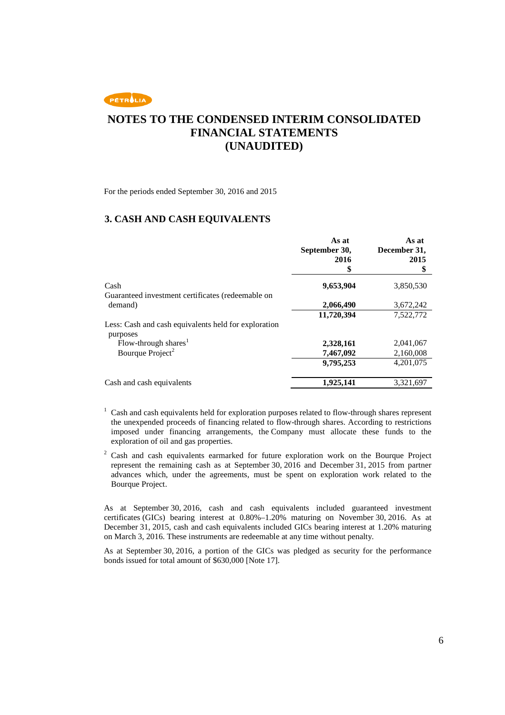

For the periods ended September 30, 2016 and 2015

### **3. CASH AND CASH EQUIVALENTS**

|                                                                  | As at<br>September 30,<br>2016<br>\$ | As at<br>December 31,<br>2015<br>\$ |
|------------------------------------------------------------------|--------------------------------------|-------------------------------------|
| Cash                                                             | 9,653,904                            | 3,850,530                           |
| Guaranteed investment certificates (redeemable on<br>demand)     | 2,066,490                            | 3,672,242                           |
|                                                                  | 11,720,394                           | 7,522,772                           |
| Less: Cash and cash equivalents held for exploration<br>purposes |                                      |                                     |
| Flow-through shares <sup>1</sup>                                 | 2,328,161                            | 2,041,067                           |
| Bourque Project <sup>2</sup>                                     | 7,467,092                            | 2,160,008                           |
|                                                                  | 9,795,253                            | 4.201.075                           |
| Cash and cash equivalents                                        | 1.925.141                            | 3,321,697                           |

- <sup>1</sup> Cash and cash equivalents held for exploration purposes related to flow-through shares represent the unexpended proceeds of financing related to flow-through shares. According to restrictions imposed under financing arrangements, the Company must allocate these funds to the exploration of oil and gas properties.
- $2$  Cash and cash equivalents earmarked for future exploration work on the Bourque Project represent the remaining cash as at September 30, 2016 and December 31, 2015 from partner advances which, under the agreements, must be spent on exploration work related to the Bourque Project.

As at September 30, 2016, cash and cash equivalents included guaranteed investment certificates (GICs) bearing interest at 0.80%–1.20% maturing on November 30, 2016. As at December 31, 2015, cash and cash equivalents included GICs bearing interest at 1.20% maturing on March 3, 2016. These instruments are redeemable at any time without penalty.

As at September 30, 2016, a portion of the GICs was pledged as security for the performance bonds issued for total amount of \$630,000 [Note 17].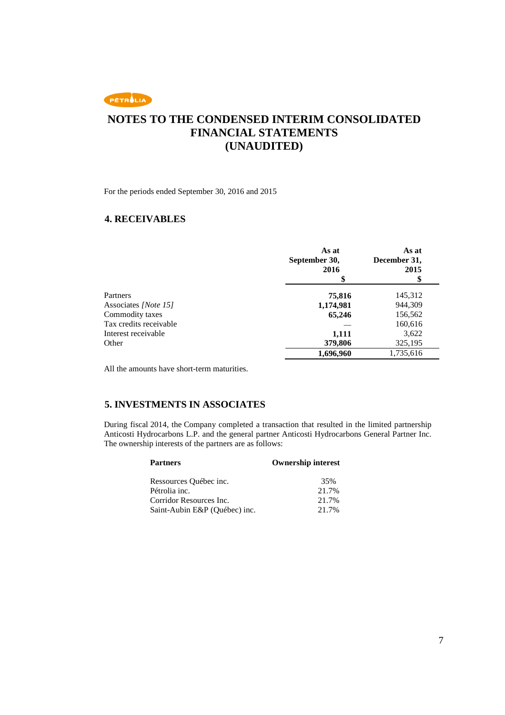

For the periods ended September 30, 2016 and 2015

### **4. RECEIVABLES**

|                        | As at<br>September 30,<br>2016 | As at<br>December 31,<br>2015<br>\$ |
|------------------------|--------------------------------|-------------------------------------|
| Partners               | 75,816                         | 145,312                             |
| Associates [Note 15]   | 1,174,981                      | 944,309                             |
| Commodity taxes        | 65,246                         | 156,562                             |
| Tax credits receivable |                                | 160,616                             |
| Interest receivable    | 1,111                          | 3,622                               |
| Other                  | 379,806                        | 325,195                             |
|                        | 1,696,960                      | 1,735,616                           |

All the amounts have short-term maturities.

### **5. INVESTMENTS IN ASSOCIATES**

During fiscal 2014, the Company completed a transaction that resulted in the limited partnership Anticosti Hydrocarbons L.P. and the general partner Anticosti Hydrocarbons General Partner Inc. The ownership interests of the partners are as follows:

| <b>Partners</b>               | <b>Ownership interest</b> |
|-------------------------------|---------------------------|
| Ressources Québec inc.        | 35%                       |
| Pétrolia inc.                 | 21.7%                     |
| Corridor Resources Inc.       | 21.7%                     |
| Saint-Aubin E&P (Québec) inc. | 21.7%                     |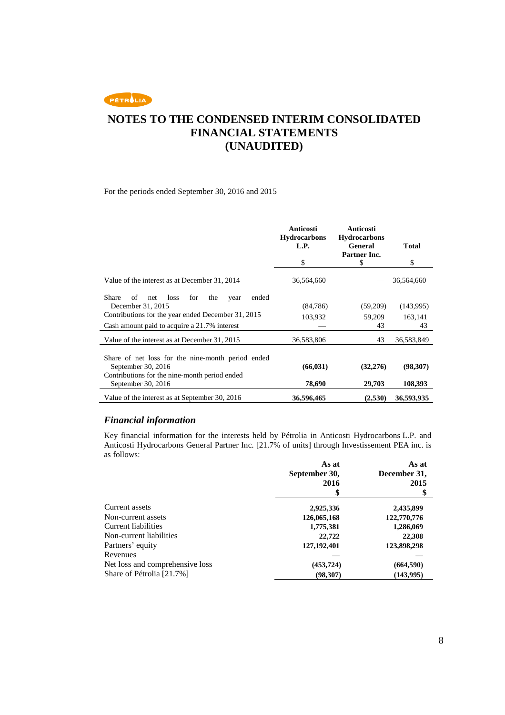PETROLIA

# **NOTES TO THE CONDENSED INTERIM CONSOLIDATED FINANCIAL STATEMENTS (UNAUDITED)**

For the periods ended September 30, 2016 and 2015

|                                                                                                    | Anticosti<br><b>Hydrocarbons</b><br>L.P. | Anticosti<br><b>Hydrocarbons</b><br>General<br>Partner Inc. | <b>Total</b>  |
|----------------------------------------------------------------------------------------------------|------------------------------------------|-------------------------------------------------------------|---------------|
|                                                                                                    | \$                                       | \$                                                          | \$            |
| Value of the interest as at December 31, 2014                                                      | 36,564,660                               |                                                             | 36,564,660    |
| Share<br>ended<br>οf<br>loss<br>for<br>the<br>net<br>year<br>December 31, 2015                     | (84,786)                                 | (59,209)                                                    | (143,995)     |
| Contributions for the year ended December 31, 2015<br>Cash amount paid to acquire a 21.7% interest | 103,932                                  | 59,209<br>43                                                | 163,141<br>43 |
| Value of the interest as at December 31, 2015                                                      | 36,583,806                               | 43                                                          | 36,583,849    |
| Share of net loss for the nine-month period ended<br>September 30, 2016                            | (66, 031)                                | (32, 276)                                                   | (98,307)      |
| Contributions for the nine-month period ended<br>September 30, 2016                                | 78,690                                   | 29,703                                                      | 108,393       |
| Value of the interest as at September 30, 2016                                                     | 36,596,465                               | (2,530)                                                     | 36,593,935    |

#### *Financial information*

Key financial information for the interests held by Pétrolia in Anticosti Hydrocarbons L.P. and Anticosti Hydrocarbons General Partner Inc. [21.7% of units] through Investissement PEA inc. is as follows: **As at As at**

|                                 | As at         | As at        |
|---------------------------------|---------------|--------------|
|                                 | September 30, | December 31, |
|                                 | 2016          | 2015         |
|                                 |               | \$           |
| Current assets                  | 2,925,336     | 2,435,899    |
| Non-current assets              | 126,065,168   | 122,770,776  |
| Current liabilities             | 1,775,381     | 1,286,069    |
| Non-current liabilities         | 22,722        | 22,308       |
| Partners' equity                | 127, 192, 401 | 123,898,298  |
| Revenues                        |               |              |
| Net loss and comprehensive loss | (453, 724)    | (664, 590)   |
| Share of Pétrolia [21.7%]       | (98, 307)     | (143,995)    |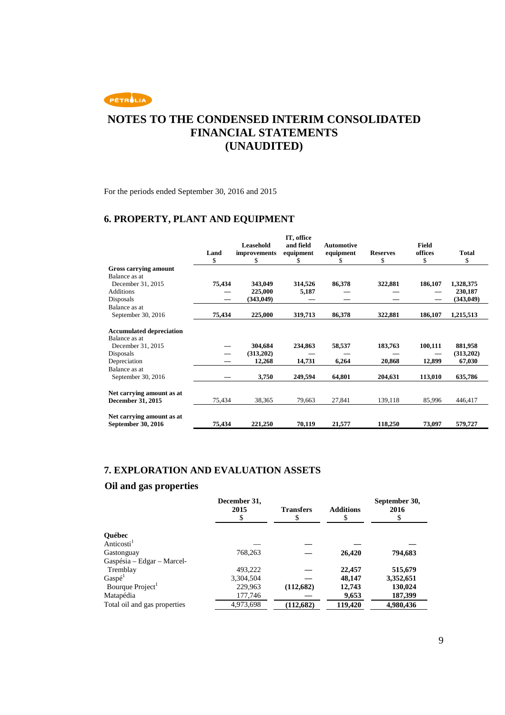

For the periods ended September 30, 2016 and 2015

# **6. PROPERTY, PLANT AND EQUIPMENT**

|                                                  |        |                                  | IT, office<br>and field |                                |                 |                  |              |
|--------------------------------------------------|--------|----------------------------------|-------------------------|--------------------------------|-----------------|------------------|--------------|
|                                                  | Land   | <b>Leasehold</b><br>improvements | equipment               | <b>Automotive</b><br>equipment | <b>Reserves</b> | Field<br>offices | <b>Total</b> |
|                                                  | \$     | \$                               | S                       | S                              | \$              | \$               | \$           |
| Gross carrying amount                            |        |                                  |                         |                                |                 |                  |              |
| Balance as at                                    |        |                                  |                         |                                |                 |                  |              |
| December 31, 2015                                | 75,434 | 343,049                          | 314,526                 | 86,378                         | 322,881         | 186,107          | 1,328,375    |
| <b>Additions</b>                                 |        | 225,000                          | 5,187                   |                                |                 |                  | 230,187      |
| Disposals                                        |        | (343,049)                        |                         |                                |                 |                  | (343,049)    |
| Balance as at                                    |        |                                  |                         |                                |                 |                  |              |
| September 30, 2016                               | 75,434 | 225,000                          | 319,713                 | 86,378                         | 322,881         | 186,107          | 1,215,513    |
| <b>Accumulated depreciation</b><br>Balance as at |        |                                  |                         |                                |                 |                  |              |
| December 31, 2015                                |        | 304,684                          | 234,863                 | 58,537                         | 183,763         | 100,111          | 881,958      |
| Disposals                                        |        | (313,202)                        |                         |                                |                 |                  | (313,202)    |
| Depreciation                                     |        | 12,268                           | 14,731                  | 6,264                          | 20,868          | 12,899           | 67,030       |
| Balance as at                                    |        |                                  |                         |                                |                 |                  |              |
| September 30, 2016                               |        | 3,750                            | 249,594                 | 64,801                         | 204,631         | 113,010          | 635,786      |
| Net carrying amount as at                        |        |                                  |                         |                                |                 |                  |              |
| December 31, 2015                                | 75,434 | 38,365                           | 79,663                  | 27,841                         | 139,118         | 85,996           | 446,417      |
|                                                  |        |                                  |                         |                                |                 |                  |              |
| Net carrying amount as at<br>September 30, 2016  | 75,434 | 221,250                          | 70,119                  | 21,577                         | 118,250         | 73,097           | 579,727      |

# **7. EXPLORATION AND EVALUATION ASSETS**

# **Oil and gas properties**

|                              | December 31,<br>2015 | <b>Transfers</b> | <b>Additions</b> | September 30,<br>2016 |
|------------------------------|----------------------|------------------|------------------|-----------------------|
| Québec                       |                      |                  |                  |                       |
| Anticosti <sup>1</sup>       |                      |                  |                  |                       |
| Gastonguay                   | 768,263              |                  | 26,420           | 794,683               |
| Gaspésia – Edgar – Marcel-   |                      |                  |                  |                       |
| Tremblay                     | 493.222              |                  | 22,457           | 515,679               |
| Gaspé <sup>1</sup>           | 3,304,504            |                  | 48.147           | 3,352,651             |
| Bourque Project              | 229,963              | (112,682)        | 12,743           | 130,024               |
| Matapédia                    | 177,746              |                  | 9,653            | 187,399               |
| Total oil and gas properties | 4,973,698            | (112,682)        | 119,420          | 4,980,436             |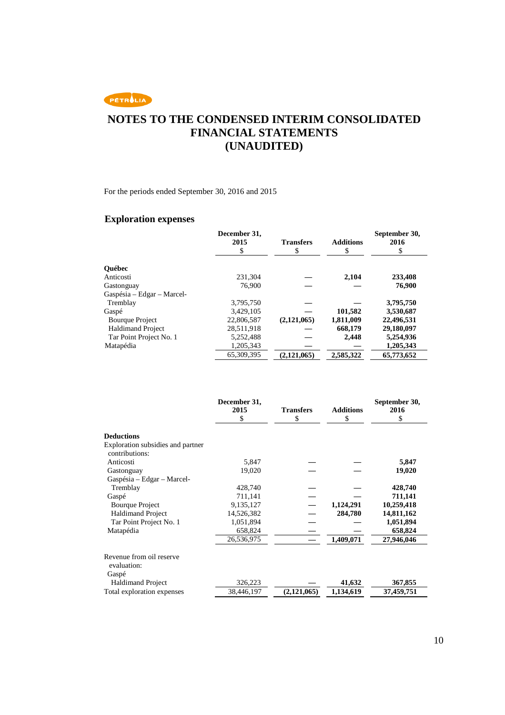

For the periods ended September 30, 2016 and 2015

# **Exploration expenses**

|                            | December 31,<br>2015<br>\$ | <b>Transfers</b><br>\$ | <b>Additions</b><br>\$ | September 30,<br>2016<br>\$ |
|----------------------------|----------------------------|------------------------|------------------------|-----------------------------|
| <b>Ouébec</b>              |                            |                        |                        |                             |
| Anticosti                  | 231.304                    |                        | 2.104                  | 233,408                     |
| Gastonguay                 | 76,900                     |                        |                        | 76,900                      |
| Gaspésia – Edgar – Marcel- |                            |                        |                        |                             |
| Tremblay                   | 3,795,750                  |                        |                        | 3,795,750                   |
| Gaspé                      | 3.429.105                  |                        | 101,582                | 3,530,687                   |
| <b>Bourque Project</b>     | 22,806,587                 | (2,121,065)            | 1,811,009              | 22,496,531                  |
| <b>Haldimand Project</b>   | 28,511,918                 |                        | 668,179                | 29,180,097                  |
| Tar Point Project No. 1    | 5,252,488                  |                        | 2.448                  | 5,254,936                   |
| Matapédia                  | 1,205,343                  |                        |                        | 1,205,343                   |
|                            | 65,309,395                 | (2,121,065)            | 2,585,322              | 65,773,652                  |

|                                         | December 31,<br>2015 | <b>Transfers</b> | <b>Additions</b> | September 30,<br>2016 |
|-----------------------------------------|----------------------|------------------|------------------|-----------------------|
|                                         | S                    | \$               | \$               | \$                    |
| <b>Deductions</b>                       |                      |                  |                  |                       |
| Exploration subsidies and partner       |                      |                  |                  |                       |
| contributions:                          |                      |                  |                  |                       |
| Anticosti                               | 5,847                |                  |                  | 5,847                 |
| Gastonguay                              | 19,020               |                  |                  | 19,020                |
| Gaspésia – Edgar – Marcel-              |                      |                  |                  |                       |
| Tremblay                                | 428,740              |                  |                  | 428,740               |
| Gaspé                                   | 711,141              |                  |                  | 711,141               |
| <b>Bourque Project</b>                  | 9,135,127            |                  | 1,124,291        | 10,259,418            |
| <b>Haldimand Project</b>                | 14,526,382           |                  | 284,780          | 14,811,162            |
| Tar Point Project No. 1                 | 1,051,894            |                  |                  | 1,051,894             |
| Matapédia                               | 658,824              |                  |                  | 658,824               |
|                                         | 26,536,975           |                  | 1,409,071        | 27,946,046            |
| Revenue from oil reserve<br>evaluation: |                      |                  |                  |                       |
| Gaspé<br><b>Haldimand Project</b>       | 326,223              |                  | 41,632           | 367,855               |
|                                         |                      |                  |                  |                       |
| Total exploration expenses              | 38,446,197           | (2,121,065)      | 1,134,619        | 37,459,751            |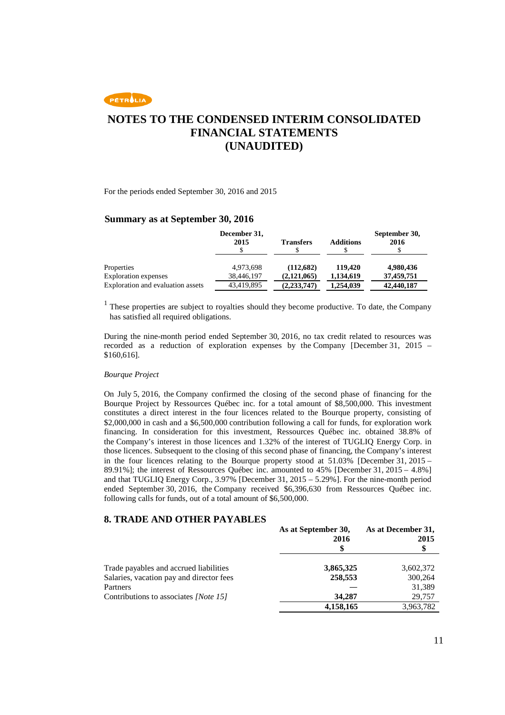PETROLIA

# **NOTES TO THE CONDENSED INTERIM CONSOLIDATED FINANCIAL STATEMENTS (UNAUDITED)**

For the periods ended September 30, 2016 and 2015

#### **Summary as at September 30, 2016**

|                                    | December 31,<br>2015    | <b>Transfers</b>         | <b>Additions</b>     | September 30,<br>2016   |
|------------------------------------|-------------------------|--------------------------|----------------------|-------------------------|
| Properties<br>Exploration expenses | 4,973,698<br>38,446,197 | (112,682)<br>(2.121.065) | 119,420<br>1,134,619 | 4,980,436<br>37,459,751 |
| Exploration and evaluation assets  | 43,419,895              | (2, 233, 747)            | 1,254,039            | 42,440,187              |

<sup>1</sup> These properties are subject to royalties should they become productive. To date, the Company has satisfied all required obligations.

During the nine-month period ended September 30, 2016, no tax credit related to resources was recorded as a reduction of exploration expenses by the Company [December 31, 2015 – \$160,616].

#### *Bourque Project*

On July 5, 2016, the Company confirmed the closing of the second phase of financing for the Bourque Project by Ressources Québec inc. for a total amount of \$8,500,000. This investment constitutes a direct interest in the four licences related to the Bourque property, consisting of \$2,000,000 in cash and a \$6,500,000 contribution following a call for funds, for exploration work financing. In consideration for this investment, Ressources Québec inc. obtained 38.8% of the Company's interest in those licences and 1.32% of the interest of TUGLIQ Energy Corp. in those licences. Subsequent to the closing of this second phase of financing, the Company's interest in the four licences relating to the Bourque property stood at  $51.03\%$  [December 31, 2015 – 89.91%]; the interest of Ressources Québec inc. amounted to 45% [December 31, 2015 – 4.8%] and that TUGLIQ Energy Corp., 3.97% [December 31, 2015 – 5.29%]. For the nine-month period ended September 30, 2016, the Company received \$6,396,630 from Ressources Québec inc. following calls for funds, out of a total amount of \$6,500,000.

#### **8. TRADE AND OTHER PAYABLES**

|                                          | As at September 30,<br>2016 | As at December 31,<br>2015 |
|------------------------------------------|-----------------------------|----------------------------|
|                                          |                             | S                          |
| Trade payables and accrued liabilities   | 3,865,325                   | 3,602,372                  |
| Salaries, vacation pay and director fees | 258,553                     | 300.264                    |
| Partners                                 |                             | 31.389                     |
| Contributions to associates [Note 15]    | 34,287                      | 29,757                     |
|                                          | 4,158,165                   | 3,963,782                  |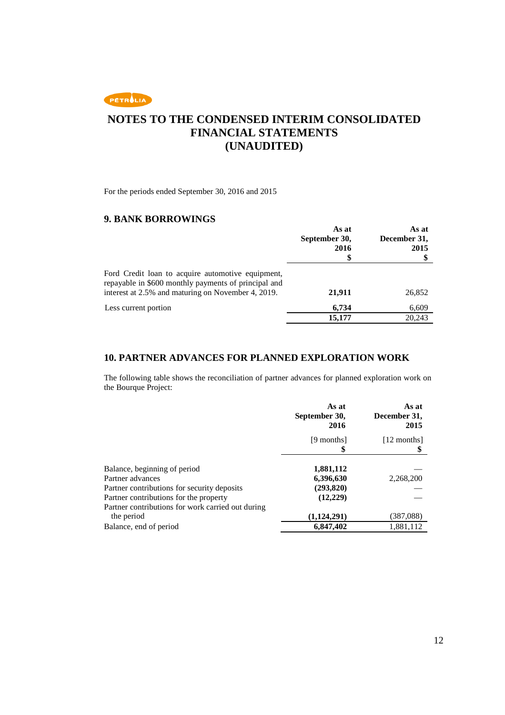

For the periods ended September 30, 2016 and 2015

### **9. BANK BORROWINGS**

|                                                                                                                                                                 | As at<br>September 30,<br>2016<br>S | As at<br>December 31,<br>2015 |
|-----------------------------------------------------------------------------------------------------------------------------------------------------------------|-------------------------------------|-------------------------------|
| Ford Credit loan to acquire automotive equipment,<br>repayable in \$600 monthly payments of principal and<br>interest at 2.5% and maturing on November 4, 2019. | 21,911                              | 26,852                        |
| Less current portion                                                                                                                                            | 6.734                               | 6,609                         |
|                                                                                                                                                                 | 15,177                              | 20,243                        |

### **10. PARTNER ADVANCES FOR PLANNED EXPLORATION WORK**

The following table shows the reconciliation of partner advances for planned exploration work on the Bourque Project:

|                                                                                       | As at<br>September 30,<br>2016 | As at<br>December 31,<br>2015 |
|---------------------------------------------------------------------------------------|--------------------------------|-------------------------------|
|                                                                                       | [9 months]                     | [12 months]                   |
| Balance, beginning of period<br>Partner advances                                      | 1,881,112<br>6,396,630         | 2,268,200                     |
| Partner contributions for security deposits<br>Partner contributions for the property | (293, 820)<br>(12,229)         |                               |
| Partner contributions for work carried out during<br>the period                       | (1, 124, 291)                  | (387, 088)                    |
| Balance, end of period                                                                | 6,847,402                      | 1,881,112                     |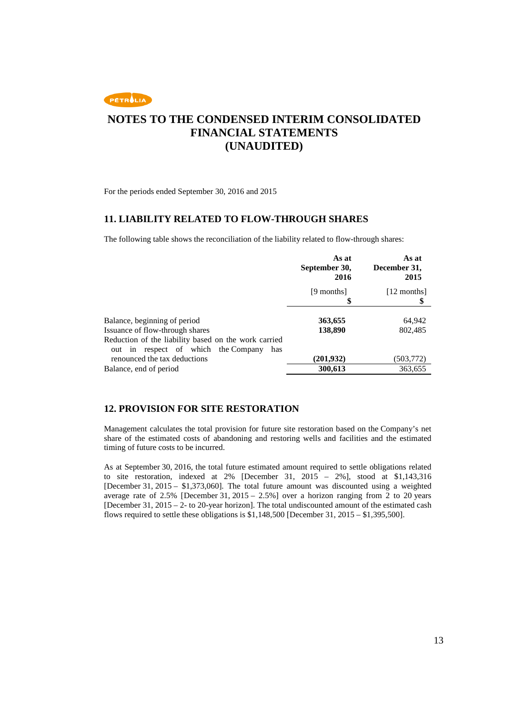

For the periods ended September 30, 2016 and 2015

### **11. LIABILITY RELATED TO FLOW-THROUGH SHARES**

The following table shows the reconciliation of the liability related to flow-through shares:

|                                                                                                       | As at<br>September 30,<br>2016 | As at<br>December 31,<br>2015 |
|-------------------------------------------------------------------------------------------------------|--------------------------------|-------------------------------|
|                                                                                                       | [9 months]<br>\$               | [12 months]                   |
|                                                                                                       |                                |                               |
| Balance, beginning of period                                                                          | 363,655                        | 64,942                        |
| Issuance of flow-through shares                                                                       | 138,890                        | 802,485                       |
| Reduction of the liability based on the work carried<br>respect of which the Company<br>out in<br>has |                                |                               |
| renounced the tax deductions                                                                          | (201, 932)                     | (503, 772)                    |
| Balance, end of period                                                                                | 300,613                        | 363,655                       |

### **12. PROVISION FOR SITE RESTORATION**

Management calculates the total provision for future site restoration based on the Company's net share of the estimated costs of abandoning and restoring wells and facilities and the estimated timing of future costs to be incurred.

As at September 30, 2016, the total future estimated amount required to settle obligations related to site restoration, indexed at 2% [December 31, 2015 – 2%], stood at \$1,143,316 [December 31, 2015 – \$1,373,060]. The total future amount was discounted using a weighted average rate of 2.5% [December 31, 2015 – 2.5%] over a horizon ranging from 2 to 20 years [December 31, 2015 – 2- to 20-year horizon]. The total undiscounted amount of the estimated cash flows required to settle these obligations is \$1,148,500 [December 31, 2015 – \$1,395,500].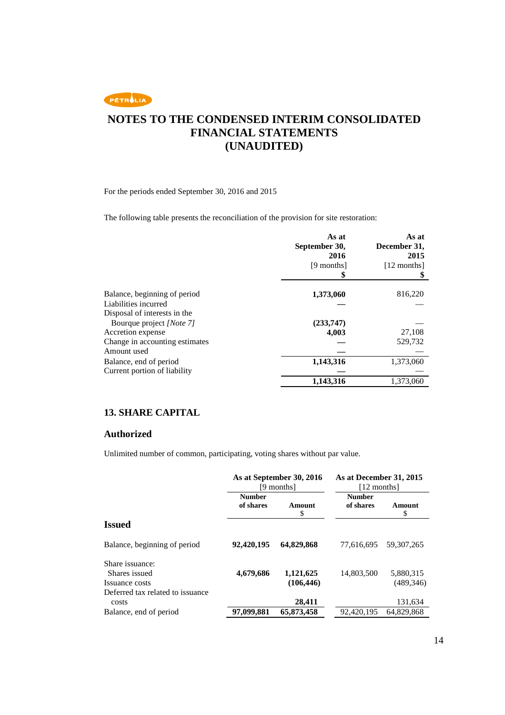

For the periods ended September 30, 2016 and 2015

The following table presents the reconciliation of the provision for site restoration:

|                                | As at<br>September 30,<br>2016<br>[9 months] | As at<br>December 31,<br>2015<br>$[12$ months] |
|--------------------------------|----------------------------------------------|------------------------------------------------|
|                                |                                              |                                                |
| Balance, beginning of period   | 1,373,060                                    | 816,220                                        |
| Liabilities incurred           |                                              |                                                |
| Disposal of interests in the   |                                              |                                                |
| Bourque project [Note 7]       | (233,747)                                    |                                                |
| Accretion expense              | 4,003                                        | 27,108                                         |
| Change in accounting estimates |                                              | 529,732                                        |
| Amount used                    |                                              |                                                |
| Balance, end of period         | 1,143,316                                    | 1,373,060                                      |
| Current portion of liability   |                                              |                                                |
|                                | 1,143,316                                    | 1,373,060                                      |

### **13. SHARE CAPITAL**

#### **Authorized**

Unlimited number of common, participating, voting shares without par value.

|                                           |                            | As at September 30, 2016<br>[9 months] | As at December 31, 2015<br>[12 months] |              |
|-------------------------------------------|----------------------------|----------------------------------------|----------------------------------------|--------------|
|                                           | <b>Number</b><br>of shares | Amount<br>\$                           | <b>Number</b><br>of shares             | Amount<br>\$ |
| <b>Issued</b>                             |                            |                                        |                                        |              |
| Balance, beginning of period              | 92,420,195                 | 64.829.868                             | 77.616.695                             | 59.307.265   |
| Share issuance:<br>Shares issued          | 4,679,686                  | 1,121,625                              | 14,803,500                             | 5,880,315    |
| Issuance costs                            |                            | (106, 446)                             |                                        | (489, 346)   |
| Deferred tax related to issuance<br>costs |                            | 28,411                                 |                                        | 131,634      |
| Balance, end of period                    | 97,099,881                 | 65,873,458                             | 92,420,195                             | 64,829,868   |
|                                           |                            |                                        |                                        |              |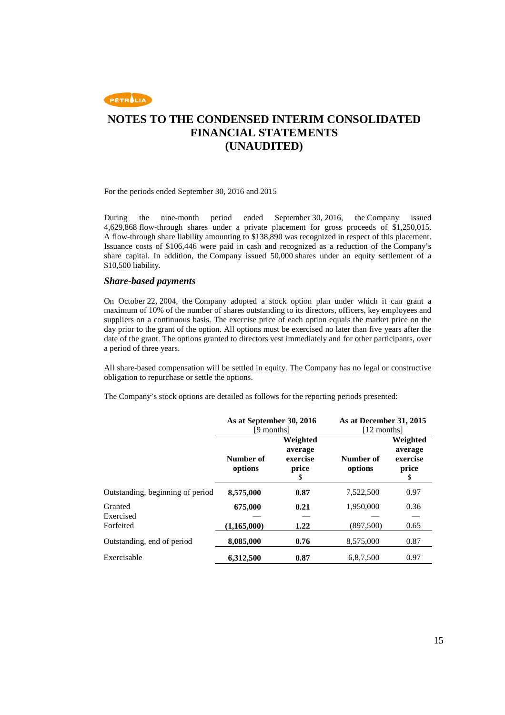

For the periods ended September 30, 2016 and 2015

During the nine-month period ended September 30, 2016, the Company issued 4,629,868 flow-through shares under a private placement for gross proceeds of \$1,250,015. A flow-through share liability amounting to \$138,890 was recognized in respect of this placement. Issuance costs of \$106,446 were paid in cash and recognized as a reduction of the Company's share capital. In addition, the Company issued 50,000 shares under an equity settlement of a \$10,500 liability.

#### *Share-based payments*

On October 22, 2004, the Company adopted a stock option plan under which it can grant a maximum of 10% of the number of shares outstanding to its directors, officers, key employees and suppliers on a continuous basis. The exercise price of each option equals the market price on the day prior to the grant of the option. All options must be exercised no later than five years after the date of the grant. The options granted to directors vest immediately and for other participants, over a period of three years.

All share-based compensation will be settled in equity. The Company has no legal or constructive obligation to repurchase or settle the options.

The Company's stock options are detailed as follows for the reporting periods presented:

|                                  | As at September 30, 2016<br>[9 months] |                                                | As at December 31, 2015<br>[12 months] |                                                |
|----------------------------------|----------------------------------------|------------------------------------------------|----------------------------------------|------------------------------------------------|
|                                  | Number of<br>options                   | Weighted<br>average<br>exercise<br>price<br>\$ | Number of<br>options                   | Weighted<br>average<br>exercise<br>price<br>\$ |
| Outstanding, beginning of period | 8,575,000                              | 0.87                                           | 7,522,500                              | 0.97                                           |
| Granted<br>Exercised             | 675,000                                | 0.21                                           | 1,950,000                              | 0.36                                           |
| Forfeited                        | (1,165,000)                            | 1.22                                           | (897,500)                              | 0.65                                           |
| Outstanding, end of period       | 8,085,000                              | 0.76                                           | 8,575,000                              | 0.87                                           |
| Exercisable                      | 6,312,500                              | 0.87                                           | 6,8,7,500                              | 0.97                                           |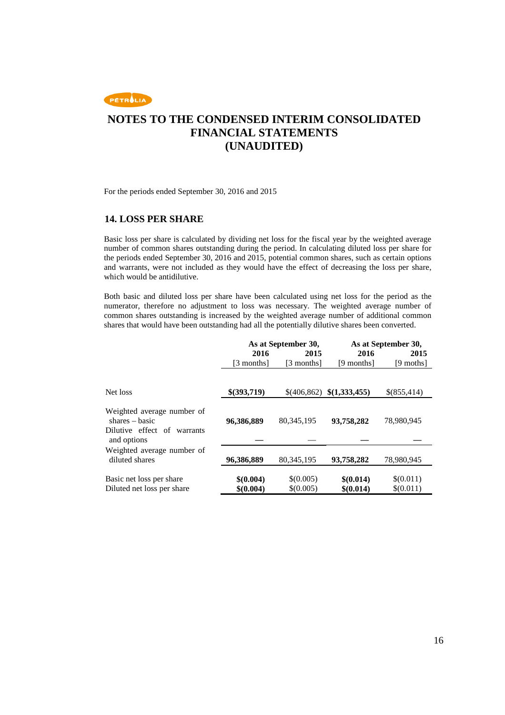

For the periods ended September 30, 2016 and 2015

### **14. LOSS PER SHARE**

Basic loss per share is calculated by dividing net loss for the fiscal year by the weighted average number of common shares outstanding during the period. In calculating diluted loss per share for the periods ended September 30, 2016 and 2015, potential common shares, such as certain options and warrants, were not included as they would have the effect of decreasing the loss per share, which would be antidilutive.

Both basic and diluted loss per share have been calculated using net loss for the period as the numerator, therefore no adjustment to loss was necessary. The weighted average number of common shares outstanding is increased by the weighted average number of additional common shares that would have been outstanding had all the potentially dilutive shares been converted.

|                                                                                              |                        | As at September 30,    |                           | As at September 30,    |
|----------------------------------------------------------------------------------------------|------------------------|------------------------|---------------------------|------------------------|
|                                                                                              | 2016                   | 2015                   | 2016                      | 2015                   |
|                                                                                              | [3 months]             | [3 months]             | [9 months]                | [9 moths]              |
| Net loss                                                                                     | \$(393,719)            |                        | \$(406,862) \$(1,333,455) | \$(855,414)            |
| Weighted average number of<br>$shares - basic$<br>Dilutive effect of warrants<br>and options | 96,386,889             | 80.345.195             | 93,758,282                | 78,980,945             |
| Weighted average number of<br>diluted shares                                                 | 96,386,889             | 80, 345, 195           | 93,758,282                | 78,980,945             |
| Basic net loss per share<br>Diluted net loss per share                                       | \$(0.004)<br>\$(0.004) | \$(0.005)<br>\$(0.005) | \$(0.014)<br>\$(0.014)    | \$(0.011)<br>\$(0.011) |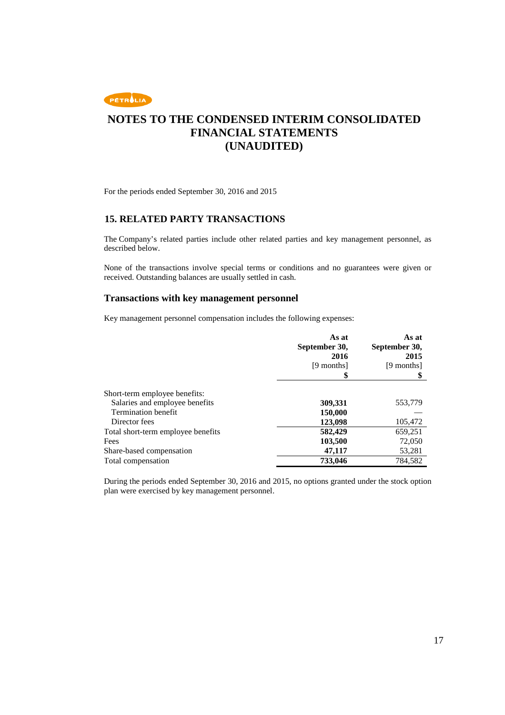

For the periods ended September 30, 2016 and 2015

### **15. RELATED PARTY TRANSACTIONS**

The Company's related parties include other related parties and key management personnel, as described below.

None of the transactions involve special terms or conditions and no guarantees were given or received. Outstanding balances are usually settled in cash.

#### **Transactions with key management personnel**

Key management personnel compensation includes the following expenses:

|                                    | As at<br>September 30,<br>2016<br>[9 months]<br>\$ | As at<br>September 30,<br>2015<br>[9 months] |
|------------------------------------|----------------------------------------------------|----------------------------------------------|
|                                    |                                                    |                                              |
| Short-term employee benefits:      |                                                    |                                              |
| Salaries and employee benefits     | 309,331                                            | 553,779                                      |
| <b>Termination benefit</b>         | 150,000                                            |                                              |
| Director fees                      | 123,098                                            | 105,472                                      |
| Total short-term employee benefits | 582,429                                            | 659,251                                      |
| Fees                               | 103,500                                            | 72,050                                       |
| Share-based compensation           | 47,117                                             | 53,281                                       |
| Total compensation                 | 733,046                                            | 784,582                                      |

During the periods ended September 30, 2016 and 2015, no options granted under the stock option plan were exercised by key management personnel.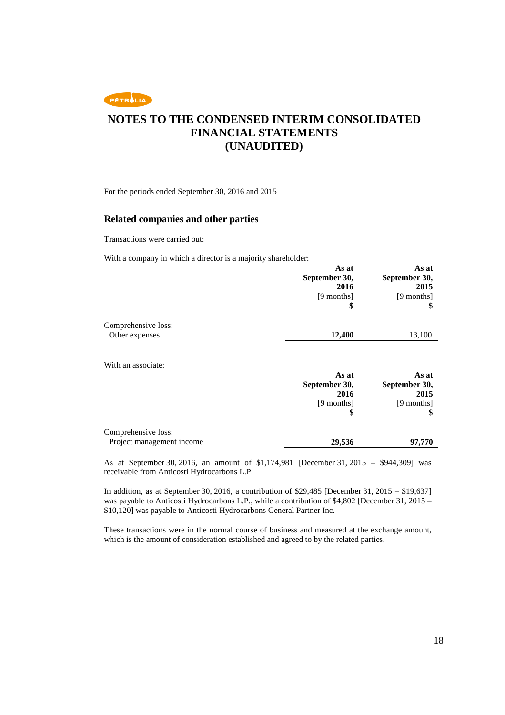PETROLIA

# **NOTES TO THE CONDENSED INTERIM CONSOLIDATED FINANCIAL STATEMENTS (UNAUDITED)**

For the periods ended September 30, 2016 and 2015

### **Related companies and other parties**

Transactions were carried out:

With a company in which a director is a majority shareholder:

|                           | As at<br>September 30,<br>2016<br>[9 months]<br>\$ | As at<br>September 30,<br>2015<br>[9 months]<br>\$ |
|---------------------------|----------------------------------------------------|----------------------------------------------------|
| Comprehensive loss:       |                                                    |                                                    |
| Other expenses            | 12,400                                             | 13,100                                             |
| With an associate:        | As at                                              | As at                                              |
|                           | September 30,                                      | September 30,                                      |
|                           | 2016                                               | 2015                                               |
|                           | [9 months]<br>\$                                   | [9 months]<br>\$                                   |
|                           |                                                    |                                                    |
| Comprehensive loss:       |                                                    |                                                    |
| Project management income | 29,536                                             | 97,770                                             |

As at September 30, 2016, an amount of \$1,174,981 [December 31, 2015 – \$944,309] was receivable from Anticosti Hydrocarbons L.P.

In addition, as at September 30, 2016, a contribution of \$29,485 [December 31, 2015 – \$19,637] was payable to Anticosti Hydrocarbons L.P., while a contribution of \$4,802 [December 31, 2015 – \$10,120] was payable to Anticosti Hydrocarbons General Partner Inc.

These transactions were in the normal course of business and measured at the exchange amount, which is the amount of consideration established and agreed to by the related parties.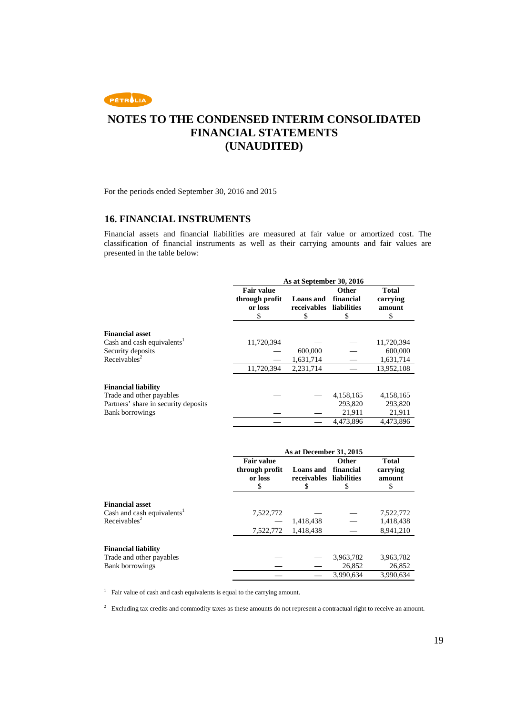

For the periods ended September 30, 2016 and 2015

### **16. FINANCIAL INSTRUMENTS**

Financial assets and financial liabilities are measured at fair value or amortized cost. The classification of financial instruments as well as their carrying amounts and fair values are presented in the table below:

|                                                                                                                          | As at September 30, 2016                            |                                      |                                                |                                                  |
|--------------------------------------------------------------------------------------------------------------------------|-----------------------------------------------------|--------------------------------------|------------------------------------------------|--------------------------------------------------|
|                                                                                                                          | <b>Fair value</b><br>through profit<br>or loss<br>S | <b>Loans</b> and<br>receivables<br>S | <b>Other</b><br>financial<br>liabilities<br>\$ | <b>Total</b><br>carrying<br>amount<br>S          |
| <b>Financial asset</b><br>Cash and cash equivalents <sup>1</sup><br>Security deposits<br>Receivables <sup>2</sup>        | 11,720,394<br>11,720,394                            | 600,000<br>1,631,714<br>2,231,714    |                                                | 11,720,394<br>600,000<br>1,631,714<br>13,952,108 |
| <b>Financial liability</b><br>Trade and other payables<br>Partners' share in security deposits<br><b>Bank borrowings</b> |                                                     |                                      | 4,158,165<br>293.820<br>21,911                 | 4,158,165<br>293,820<br>21,911                   |
|                                                                                                                          |                                                     |                                      | 4.473.896                                      | 4,473,896                                        |

|                                                                                              | As at December 31, 2015                             |                                      |                                               |                                         |
|----------------------------------------------------------------------------------------------|-----------------------------------------------------|--------------------------------------|-----------------------------------------------|-----------------------------------------|
|                                                                                              | <b>Fair value</b><br>through profit<br>or loss<br>S | <b>Loans</b> and<br>receivables<br>S | <b>Other</b><br>financial<br>liabilities<br>S | <b>Total</b><br>carrying<br>amount<br>S |
| <b>Financial asset</b><br>Cash and cash equivalents <sup>1</sup><br>Receivables <sup>2</sup> | 7,522,772<br>7,522,772                              | 1,418,438<br>1,418,438               |                                               | 7,522,772<br>1,418,438<br>8,941,210     |
|                                                                                              |                                                     |                                      |                                               |                                         |
| <b>Financial liability</b>                                                                   |                                                     |                                      |                                               |                                         |
| Trade and other payables                                                                     |                                                     |                                      | 3,963,782                                     | 3,963,782                               |
| <b>Bank borrowings</b>                                                                       |                                                     |                                      | 26,852                                        | 26,852                                  |
|                                                                                              |                                                     |                                      | 3.990.634                                     | 3.990.634                               |

<sup>1</sup> Fair value of cash and cash equivalents is equal to the carrying amount.

<sup>2</sup> Excluding tax credits and commodity taxes as these amounts do not represent a contractual right to receive an amount.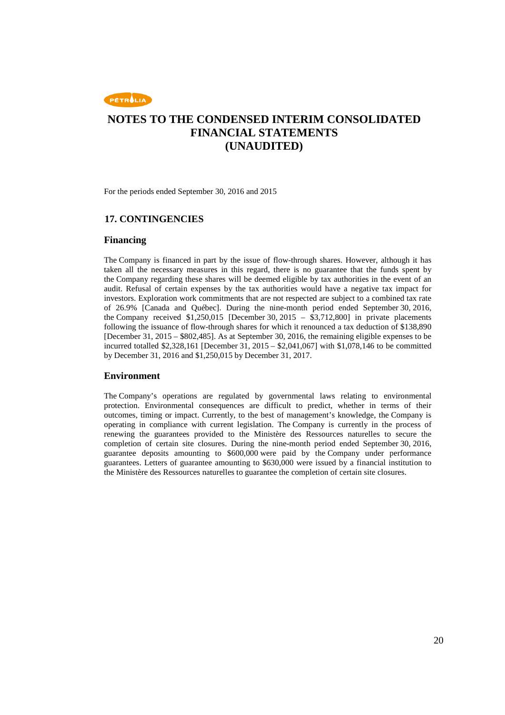

For the periods ended September 30, 2016 and 2015

#### **17. CONTINGENCIES**

#### **Financing**

The Company is financed in part by the issue of flow-through shares. However, although it has taken all the necessary measures in this regard, there is no guarantee that the funds spent by the Company regarding these shares will be deemed eligible by tax authorities in the event of an audit. Refusal of certain expenses by the tax authorities would have a negative tax impact for investors. Exploration work commitments that are not respected are subject to a combined tax rate of 26.9% [Canada and Québec]. During the nine-month period ended September 30, 2016, the Company received  $$1,250,015$  [December 30, 2015 –  $$3,712,800$ ] in private placements following the issuance of flow-through shares for which it renounced a tax deduction of \$138,890 [December 31, 2015 – \$802,485]. As at September 30, 2016, the remaining eligible expenses to be incurred totalled \$2,328,161 [December 31, 2015 – \$2,041,067] with \$1,078,146 to be committed by December 31, 2016 and \$1,250,015 by December 31, 2017.

#### **Environment**

The Company's operations are regulated by governmental laws relating to environmental protection. Environmental consequences are difficult to predict, whether in terms of their outcomes, timing or impact. Currently, to the best of management's knowledge, the Company is operating in compliance with current legislation. The Company is currently in the process of renewing the guarantees provided to the Ministère des Ressources naturelles to secure the completion of certain site closures. During the nine-month period ended September 30, 2016, guarantee deposits amounting to \$600,000 were paid by the Company under performance guarantees. Letters of guarantee amounting to \$630,000 were issued by a financial institution to the Ministère des Ressources naturelles to guarantee the completion of certain site closures.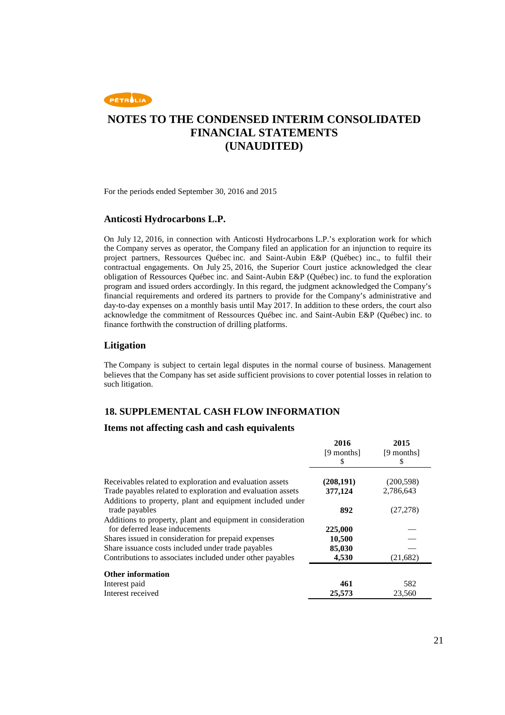

For the periods ended September 30, 2016 and 2015

#### **Anticosti Hydrocarbons L.P.**

On July 12, 2016, in connection with Anticosti Hydrocarbons L.P.'s exploration work for which the Company serves as operator, the Company filed an application for an injunction to require its project partners, Ressources Québec inc. and Saint-Aubin E&P (Québec) inc., to fulfil their contractual engagements. On July 25, 2016, the Superior Court justice acknowledged the clear obligation of Ressources Québec inc. and Saint-Aubin E&P (Québec) inc. to fund the exploration program and issued orders accordingly. In this regard, the judgment acknowledged the Company's financial requirements and ordered its partners to provide for the Company's administrative and day-to-day expenses on a monthly basis until May 2017. In addition to these orders, the court also acknowledge the commitment of Ressources Québec inc. and Saint-Aubin E&P (Québec) inc. to finance forthwith the construction of drilling platforms.

#### **Litigation**

The Company is subject to certain legal disputes in the normal course of business. Management believes that the Company has set aside sufficient provisions to cover potential losses in relation to such litigation.

### **18. SUPPLEMENTAL CASH FLOW INFORMATION**

#### **Items not affecting cash and cash equivalents**

|                                                             | 2016       | 2015       |
|-------------------------------------------------------------|------------|------------|
|                                                             | [9 months] | [9 months] |
|                                                             | S          | S          |
| Receivables related to exploration and evaluation assets    | (208, 191) | (200, 598) |
| Trade payables related to exploration and evaluation assets | 377,124    | 2,786,643  |
| Additions to property, plant and equipment included under   |            |            |
| trade payables                                              | 892        | (27, 278)  |
| Additions to property, plant and equipment in consideration |            |            |
| for deferred lease inducements                              | 225,000    |            |
| Shares issued in consideration for prepaid expenses         | 10,500     |            |
| Share issuance costs included under trade payables          | 85,030     |            |
| Contributions to associates included under other payables   | 4,530      | (21, 682)  |
| <b>Other information</b>                                    |            |            |
| Interest paid                                               | 461        | 582        |
| Interest received                                           | 25,573     | 23,560     |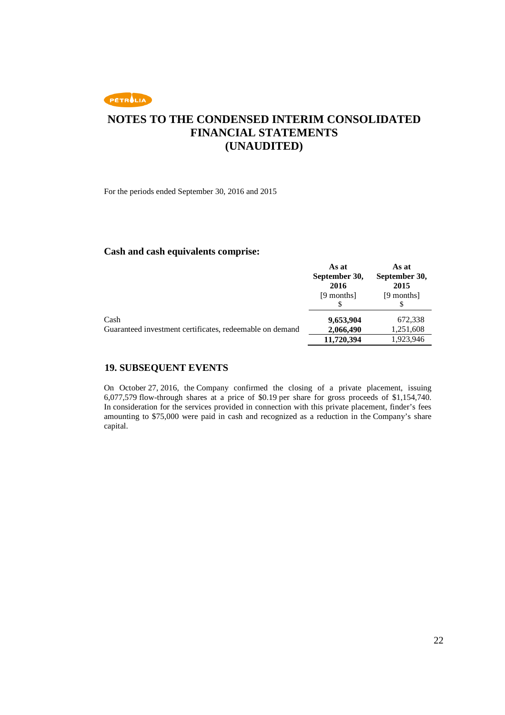

For the periods ended September 30, 2016 and 2015

#### **Cash and cash equivalents comprise:**

|                                                                  | As at<br>September 30,<br>2016<br>[9 months] | As at<br>September 30,<br>2015<br>[9 months] |
|------------------------------------------------------------------|----------------------------------------------|----------------------------------------------|
| Cash<br>Guaranteed investment certificates, redeemable on demand | 9,653,904<br>2,066,490                       | 672,338<br>1,251,608                         |
|                                                                  | 11,720,394                                   | 1,923,946                                    |

### **19. SUBSEQUENT EVENTS**

On October 27, 2016, the Company confirmed the closing of a private placement, issuing 6,077,579 flow-through shares at a price of \$0.19 per share for gross proceeds of \$1,154,740. In consideration for the services provided in connection with this private placement, finder's fees amounting to \$75,000 were paid in cash and recognized as a reduction in the Company's share capital.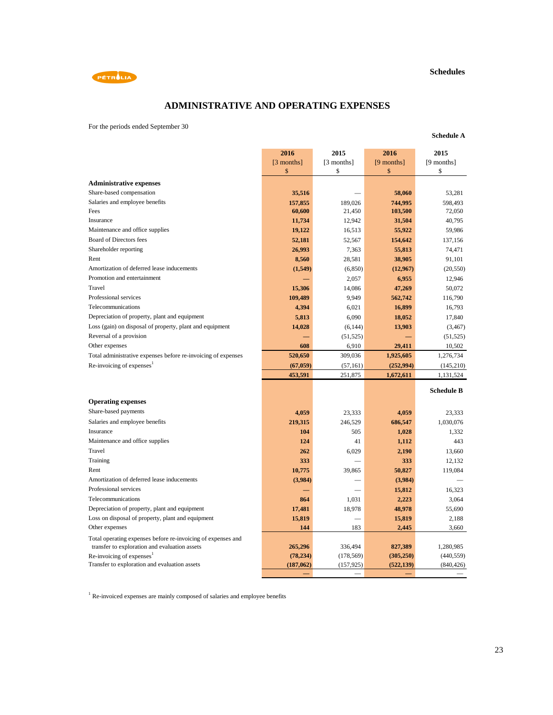#### **Schedules**



## **ADMINISTRATIVE AND OPERATING EXPENSES**

For the periods ended September 30

|                                                                                                               | 2016          | 2015       | 2016            | 2015              |
|---------------------------------------------------------------------------------------------------------------|---------------|------------|-----------------|-------------------|
|                                                                                                               | [3 months]    | [3 months] | [9 months]      | [9 months]        |
|                                                                                                               | \$            | \$         | \$              | \$                |
| <b>Administrative expenses</b>                                                                                |               |            |                 |                   |
| Share-based compensation                                                                                      | 35,516        |            | 58,060          | 53,281            |
| Salaries and employee benefits                                                                                | 157,855       | 189,026    | 744,995         | 598,493           |
| Fees                                                                                                          | 60,600        | 21,450     | 103,500         | 72,050            |
| Insurance                                                                                                     | 11,734        | 12,942     | 31,504          | 40,795            |
| Maintenance and office supplies                                                                               | 19,122        | 16,513     | 55,922          | 59,986            |
| Board of Directors fees                                                                                       | 52,181        | 52,567     | 154,642         | 137,156           |
| Shareholder reporting                                                                                         | 26,993        | 7,363      | 55,813          | 74,471            |
| Rent                                                                                                          | 8,560         | 28,581     | 38,905          | 91,101            |
| Amortization of deferred lease inducements                                                                    | (1, 549)      | (6, 850)   | (12,967)        | (20, 550)         |
| Promotion and entertainment                                                                                   |               | 2,057      | 6,955           | 12,946            |
| Travel                                                                                                        | 15,306        | 14,086     | 47,269          | 50,072            |
| Professional services                                                                                         | 109,489       | 9,949      | 562,742         | 116,790           |
| Telecommunications                                                                                            | 4,394         | 6,021      | 16,899          | 16,793            |
| Depreciation of property, plant and equipment                                                                 | 5,813         | 6,090      | 18,052          | 17,840            |
| Loss (gain) on disposal of property, plant and equipment                                                      | 14,028        | (6, 144)   | 13,903          | (3, 467)          |
| Reversal of a provision                                                                                       |               | (51, 525)  |                 | (51, 525)         |
| Other expenses                                                                                                | 608           | 6,910      | 29,411          | 10,502            |
| Total administrative expenses before re-invoicing of expenses                                                 | 520,650       | 309,036    | 1,925,605       | 1,276,734         |
| Re-invoicing of expenses <sup>1</sup>                                                                         | (67, 059)     | (57, 161)  | (252, 994)      | (145,210)         |
|                                                                                                               | 453,591       | 251,875    | 1,672,611       | 1,131,524         |
|                                                                                                               |               |            |                 | <b>Schedule B</b> |
|                                                                                                               |               |            |                 |                   |
| <b>Operating expenses</b>                                                                                     |               |            |                 |                   |
| Share-based payments                                                                                          | 4,059         | 23,333     | 4,059           | 23,333            |
| Salaries and employee benefits                                                                                | 219,315       | 246,529    | 686,547         | 1,030,076         |
| Insurance                                                                                                     | 104           | 505        | 1,028           | 1,332             |
| Maintenance and office supplies                                                                               | 124           | 41         | 1,112           | 443               |
| Travel                                                                                                        | 262           | 6,029      | 2,190           | 13,660            |
| Training                                                                                                      | 333           |            | 333             | 12,132            |
| Rent<br>Amortization of deferred lease inducements                                                            | 10,775        | 39,865     | 50,827          | 119,084           |
|                                                                                                               | (3,984)       |            | (3,984)         |                   |
| Professional services<br>Telecommunications                                                                   |               |            | 15,812          | 16,323            |
|                                                                                                               | 864           | 1,031      | 2,223           | 3,064             |
| Depreciation of property, plant and equipment                                                                 | 17,481        | 18,978     | 48,978          | 55,690            |
| Loss on disposal of property, plant and equipment<br>Other expenses                                           | 15,819<br>144 | 183        | 15,819<br>2,445 | 2,188             |
|                                                                                                               |               |            |                 | 3,660             |
| Total operating expenses before re-invoicing of expenses and<br>transfer to exploration and evaluation assets | 265,296       | 336,494    | 827,389         | 1,280,985         |
| Re-invoicing of expenses <sup>1</sup>                                                                         | (78, 234)     | (178, 569) | (305, 250)      | (440, 559)        |
| Transfer to exploration and evaluation assets                                                                 | (187, 062)    | (157, 925) | (522, 139)      | (840, 426)        |
|                                                                                                               |               |            |                 |                   |

<sup>1</sup> Re-invoiced expenses are mainly composed of salaries and employee benefits

#### **Schedule A**